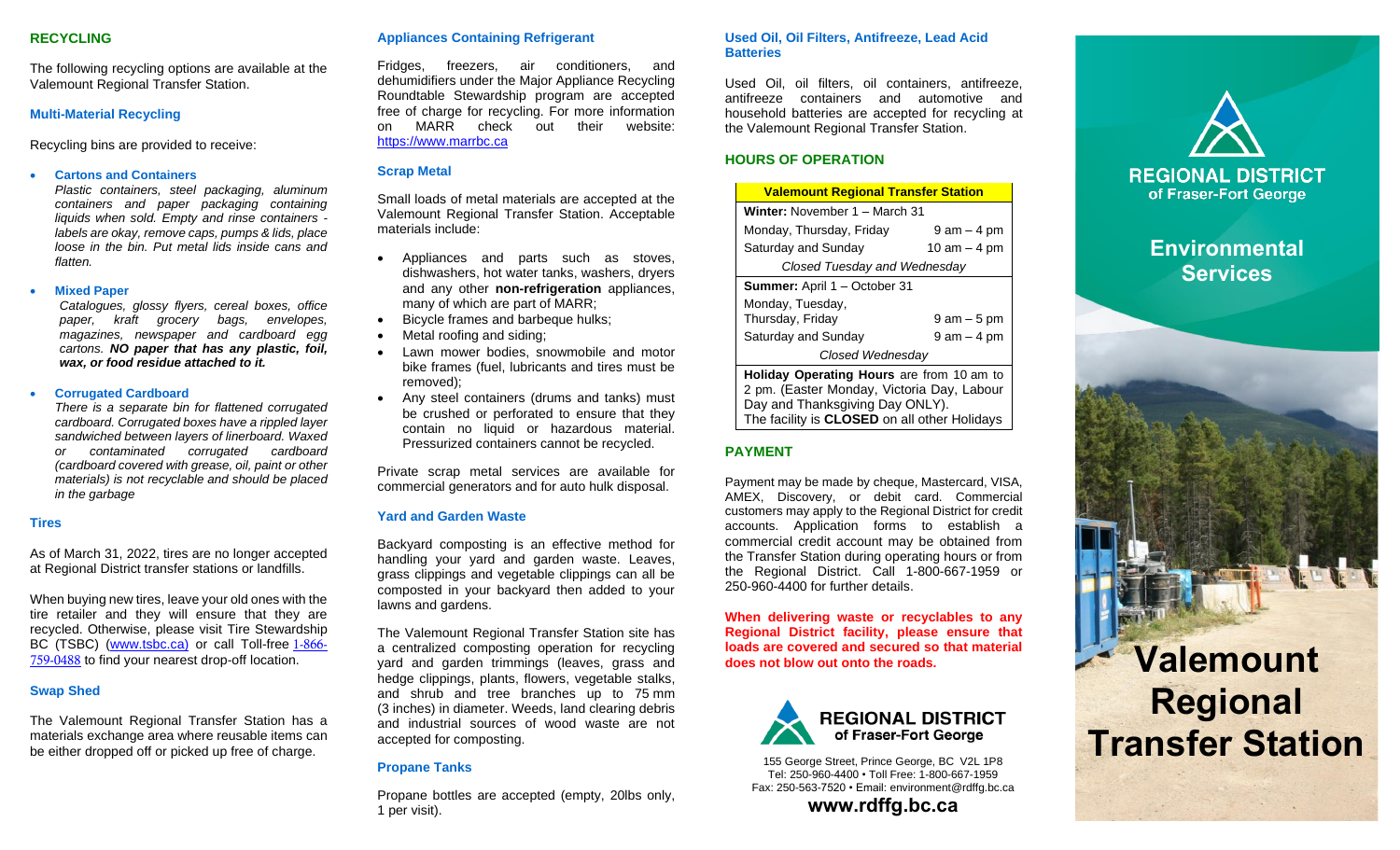### **RECYCLING**

The following recycling options are available at the Valemount Regional Transfer Station.

## **Multi-Material Recycling**

Recycling bins are provided to receive:

### • **Cartons and Containers**

*Plastic containers, steel packaging, aluminum containers and paper packaging containing liquids when sold. Empty and rinse containers labels are okay, remove caps, pumps & lids, place loose in the bin. Put metal lids inside cans and flatten.*

#### • **Mixed Paper**

*Catalogues, glossy flyers, cereal boxes, office paper, kraft grocery bags, envelopes, magazines, newspaper and cardboard egg cartons. NO paper that has any plastic, foil, wax, or food residue attached to it.*

### • **Corrugated Cardboard**

*There is a separate bin for flattened corrugated cardboard. Corrugated boxes have a rippled layer sandwiched between layers of linerboard. Waxed or contaminated corrugated cardboard (cardboard covered with grease, oil, paint or other materials) is not recyclable and should be placed in the garbage*

### **Tires**

As of March 31, 2022, tires are no longer accepted at Regional District transfer stations or landfills.

When buying new tires, leave your old ones with the tire retailer and they will ensure that they are recycled. Otherwise, please visit Tire Stewardship BC (TSBC) [\(www.tsbc.ca\)](http://www.tsbc.ca/) or call Toll-free [1-866-](tel:1-866-759-0488) [759-0488](tel:1-866-759-0488) to find your nearest drop-off location.

### **Swap Shed**

The Valemount Regional Transfer Station has a materials exchange area where reusable items can be either dropped off or picked up free of charge.

# **Appliances Containing Refrigerant**

Fridges, freezers, air conditioners, and dehumidifiers under the Major Appliance Recycling Roundtable Stewardship program are accepted free of charge for recycling. For more information on MARR check out their website: [https://www.marrbc.ca](https://www.marrbc.ca/)

### **Scrap Metal**

Small loads of metal materials are accepted at the Valemount Regional Transfer Station. Acceptable materials include:

- Appliances and parts such as stoves, dishwashers, hot water tanks, washers, dryers and any other **non-refrigeration** appliances, many of which are part of MARR;
- Bicycle frames and barbeque hulks;
- Metal roofing and siding;
- Lawn mower bodies, snowmobile and motor bike frames (fuel, lubricants and tires must be removed);
- Any steel containers (drums and tanks) must be crushed or perforated to ensure that they contain no liquid or hazardous material. Pressurized containers cannot be recycled.

Private scrap metal services are available for commercial generators and for auto hulk disposal.

### **Yard and Garden Waste**

Backyard composting is an effective method for handling your yard and garden waste. Leaves, grass clippings and vegetable clippings can all be composted in your backyard then added to your lawns and gardens.

The Valemount Regional Transfer Station site has a centralized composting operation for recycling yard and garden trimmings (leaves, grass and hedge clippings, plants, flowers, vegetable stalks, and shrub and tree branches up to 75 mm (3 inches) in diameter. Weeds, land clearing debris and industrial sources of wood waste are not accepted for composting.

## **Propane Tanks**

Propane bottles are accepted (empty, 20lbs only, 1 per visit).

### **Used Oil, Oil Filters, Antifreeze, Lead Acid Batteries**

Used Oil, oil filters, oil containers, antifreeze, antifreeze containers and automotive and household batteries are accepted for recycling at the Valemount Regional Transfer Station.

# **HOURS OF OPERATION**

| <b>Valemount Regional Transfer Station</b>                                                                                        |                 |  |  |  |  |
|-----------------------------------------------------------------------------------------------------------------------------------|-----------------|--|--|--|--|
| <b>Winter:</b> November 1 – March 31                                                                                              |                 |  |  |  |  |
| Monday, Thursday, Friday                                                                                                          | 9 am – 4 pm     |  |  |  |  |
| Saturday and Sunday                                                                                                               | 10 $am - 4 pm$  |  |  |  |  |
| Closed Tuesday and Wednesday                                                                                                      |                 |  |  |  |  |
| <b>Summer:</b> April 1 – October 31                                                                                               |                 |  |  |  |  |
| Monday, Tuesday,<br>Thursday, Friday                                                                                              | $9$ am $-5$ pm  |  |  |  |  |
| Saturday and Sunday                                                                                                               | $9$ am $-$ 4 pm |  |  |  |  |
| Closed Wednesday                                                                                                                  |                 |  |  |  |  |
| <b>Holiday Operating Hours</b> are from 10 am to<br>2 pm. (Easter Monday, Victoria Day, Labour<br>Day and Thanksgiving Day ONLY). |                 |  |  |  |  |

# **PAYMENT**

Payment may be made by cheque, Mastercard, VISA, AMEX, Discovery, or debit card. Commercial customers may apply to the Regional District for credit accounts. Application forms to establish a commercial credit account may be obtained from the Transfer Station during operating hours or from the Regional District. Call 1-800-667-1959 or 250-960-4400 for further details.

The facility is **CLOSED** on all other Holidays

**When delivering waste or recyclables to any Regional District facility, please ensure that loads are covered and secured so that material does not blow out onto the roads.**



155 George Street, Prince George, BC V2L 1P8 Tel: 250-960-4400 • Toll Free: 1-800-667-1959 Fax: 250-563-7520 • Email: environment@rdffg.bc.ca



# **Environmental Services**